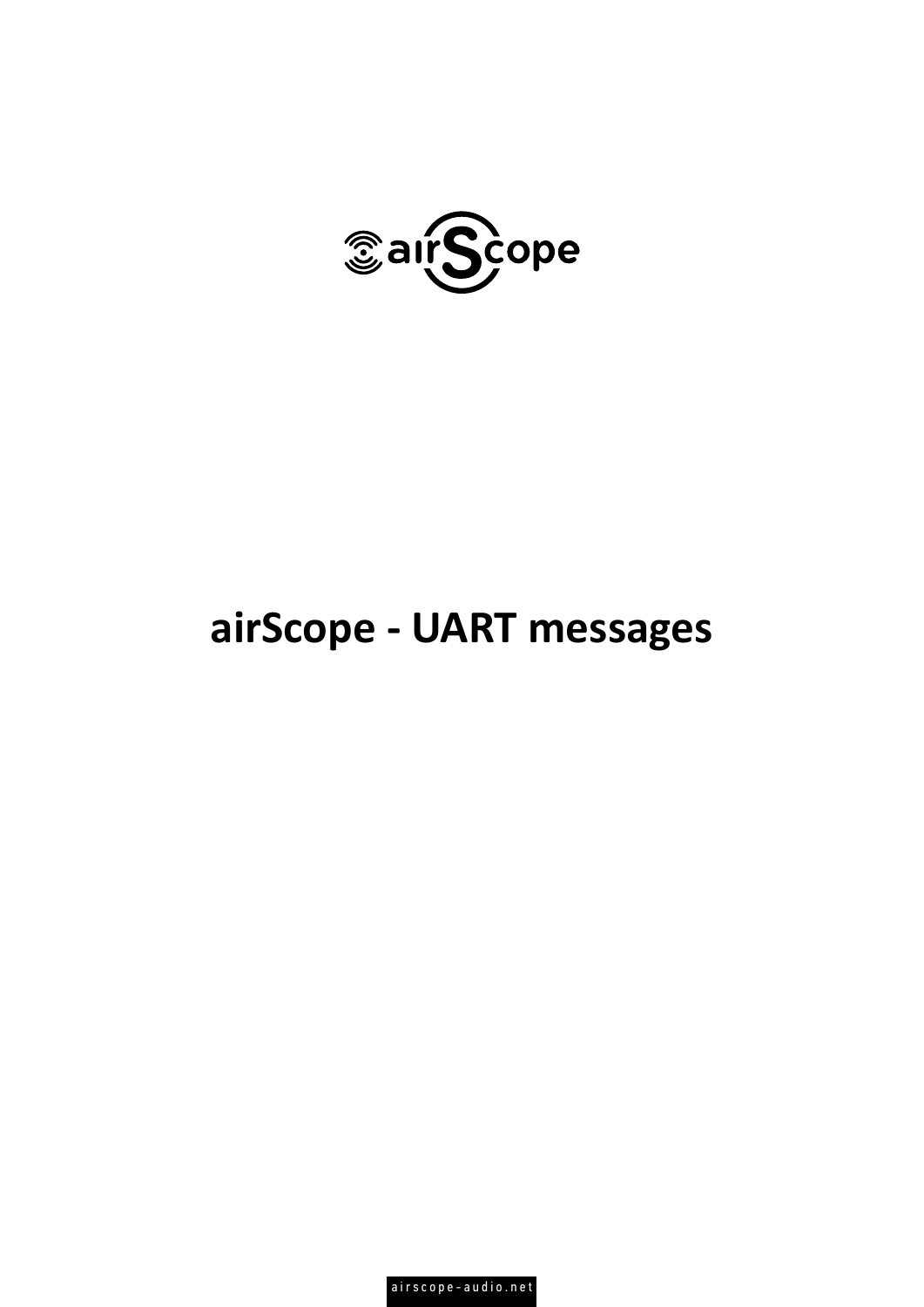

## **airScope - UART messages**

airscope-audio.net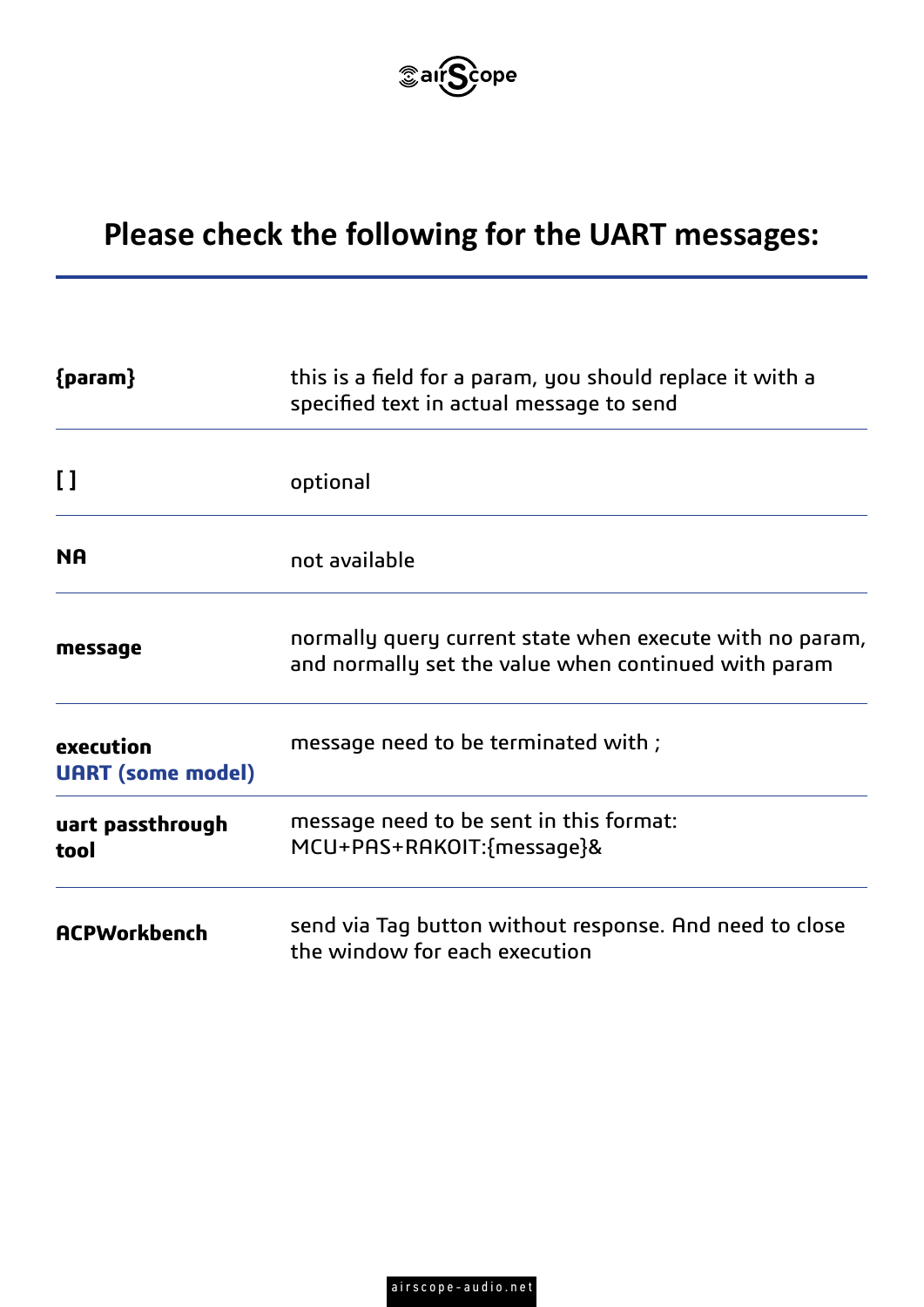

## **Please check the following for the UART messages:**

| ${param}$                             | this is a field for a param, you should replace it with a<br>specified text in actual message to send            |  |  |
|---------------------------------------|------------------------------------------------------------------------------------------------------------------|--|--|
| $\mathbf{I}$                          | optional                                                                                                         |  |  |
| <b>NA</b>                             | not available                                                                                                    |  |  |
| message                               | normally query current state when execute with no param,<br>and normally set the value when continued with param |  |  |
| execution<br><b>UART</b> (some model) | message need to be terminated with;                                                                              |  |  |
| uart passthrough<br>tool              | message need to be sent in this format:<br>MCU+PAS+RAKOIT:{message}&                                             |  |  |
| <b>ACPWorkbench</b>                   | send via Tag button without response. And need to close<br>the window for each execution                         |  |  |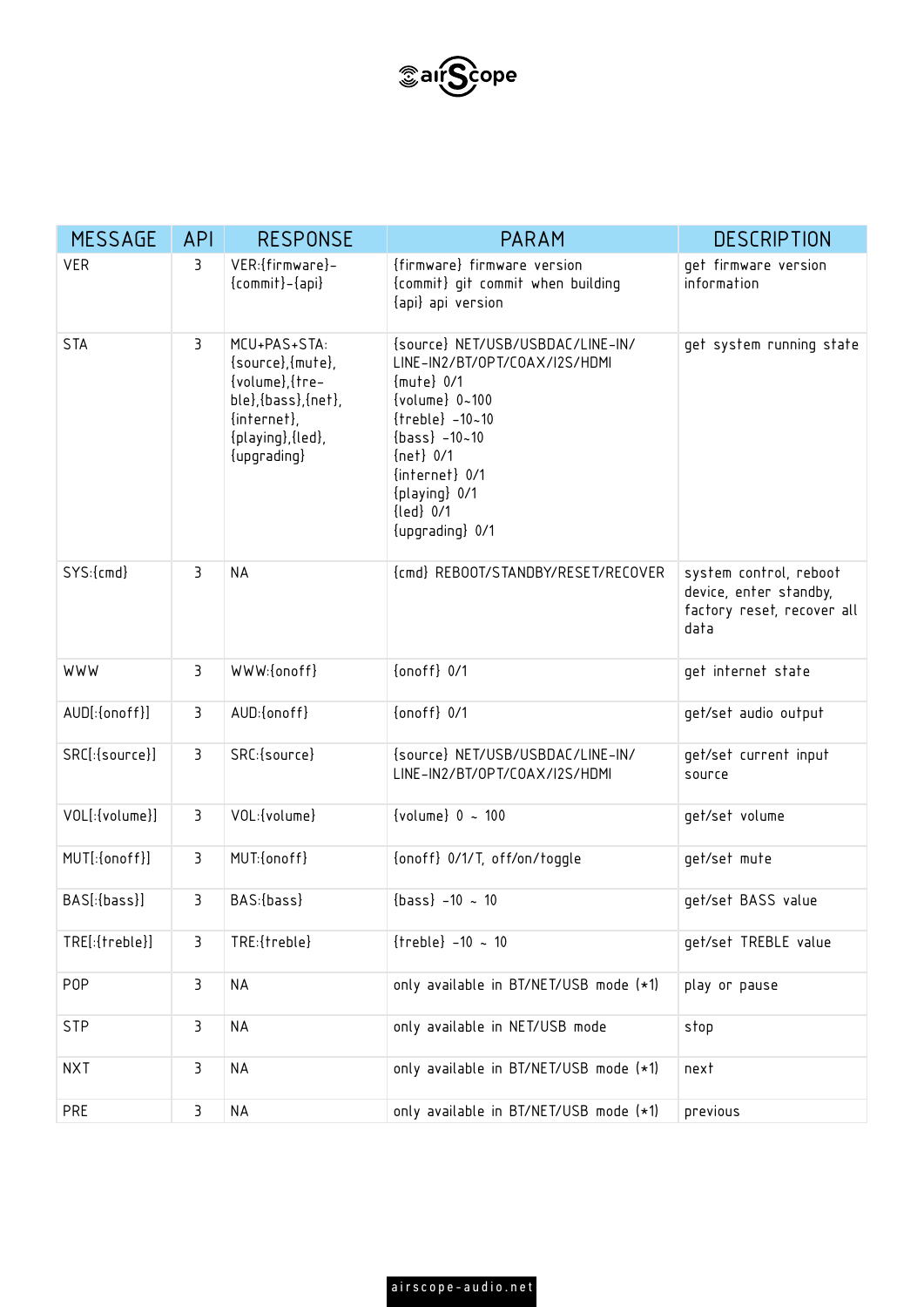

| <b>MESSAGE</b>   | <b>API</b>     | <b>RESPONSE</b>                                                                                                                       | <b>PARAM</b>                                                                                                                                                                                                                             | <b>DESCRIPTION</b>                                                                     |
|------------------|----------------|---------------------------------------------------------------------------------------------------------------------------------------|------------------------------------------------------------------------------------------------------------------------------------------------------------------------------------------------------------------------------------------|----------------------------------------------------------------------------------------|
| <b>VER</b>       | 3              | VER: {firmware}-<br>${commit}$ $-{api}$                                                                                               | {firmware} firmware version<br>{commit} git commit when building<br>{api} api version                                                                                                                                                    | get firmware version<br>information                                                    |
| <b>STA</b>       | 3              | MCU+PAS+STA:<br>$\{source\}, \{mute\},$<br>{volume}, {tre-<br>ble}, {bass}, {net},<br>{internet},<br>{playing}, {led},<br>{upgrading} | {source} NET/USB/USBDAC/LINE-IN/<br>LINE-IN2/BT/OPT/COAX/I2S/HDMI<br>${mute}$ 0/1<br>{volume} 0~100<br>$\{treble\} - 10 - 10$<br>$\{bass\} -10 - 10$<br>$\{net\}$ 0/1<br>{internet} 0/1<br>{playing} 0/1<br>{led} 0/1<br>{upqrading} 0/1 | get system running state                                                               |
| SYS:{cmd}        | 3              | <b>NA</b>                                                                                                                             | {cmd} REBOOT/STANDBY/RESET/RECOVER                                                                                                                                                                                                       | system control, reboot<br>device, enter standby,<br>factory reset, recover all<br>data |
| WWW              | 3              | WWW:{onoff}                                                                                                                           | $\{onoff\}$ $0/1$                                                                                                                                                                                                                        | get internet state                                                                     |
| AUD[:{onoff}]    | $\overline{3}$ | AUD: {onoff}                                                                                                                          | $\{onoff\}$ $0/1$                                                                                                                                                                                                                        | get/set audio output                                                                   |
| SRC[:{source}]   | $\overline{3}$ | SRC:{source}                                                                                                                          | {source} NET/USB/USBDAC/LINE-IN/<br>LINE-IN2/BT/OPT/COAX/I2S/HDMI                                                                                                                                                                        | get/set current input<br>source                                                        |
| VOL[:{volume}]   | 3              | VOL: {volume}                                                                                                                         | { $volume$ } 0 ~ 100                                                                                                                                                                                                                     | get/set volume                                                                         |
| MUT[:{onoff}]    | 3              | MUT:{onoff}                                                                                                                           | {onoff} 0/1/T, off/on/toggle                                                                                                                                                                                                             | get/set mute                                                                           |
| BAS[:{bass}]     | $\overline{3}$ | BAS: {bass}                                                                                                                           | $\{bass\}$ -10 ~ 10                                                                                                                                                                                                                      | get/set BASS value                                                                     |
| TRE[:{treble}]   | 3              | TRE:{treble}                                                                                                                          | ${treble} - 10 ~ 10$                                                                                                                                                                                                                     | get/set TREBLE value                                                                   |
| P <sub>O</sub> P | 3              | <b>NA</b>                                                                                                                             | only available in BT/NET/USB mode (*1)                                                                                                                                                                                                   | play or pause                                                                          |
| <b>STP</b>       | 3              | <b>NA</b>                                                                                                                             | only available in NET/USB mode                                                                                                                                                                                                           | stop                                                                                   |
| <b>NXT</b>       | 3              | <b>NA</b>                                                                                                                             | only available in BT/NET/USB mode (*1)                                                                                                                                                                                                   | next                                                                                   |
| PRE              | 3              | <b>NA</b>                                                                                                                             | only available in BT/NET/USB mode (*1)                                                                                                                                                                                                   | previous                                                                               |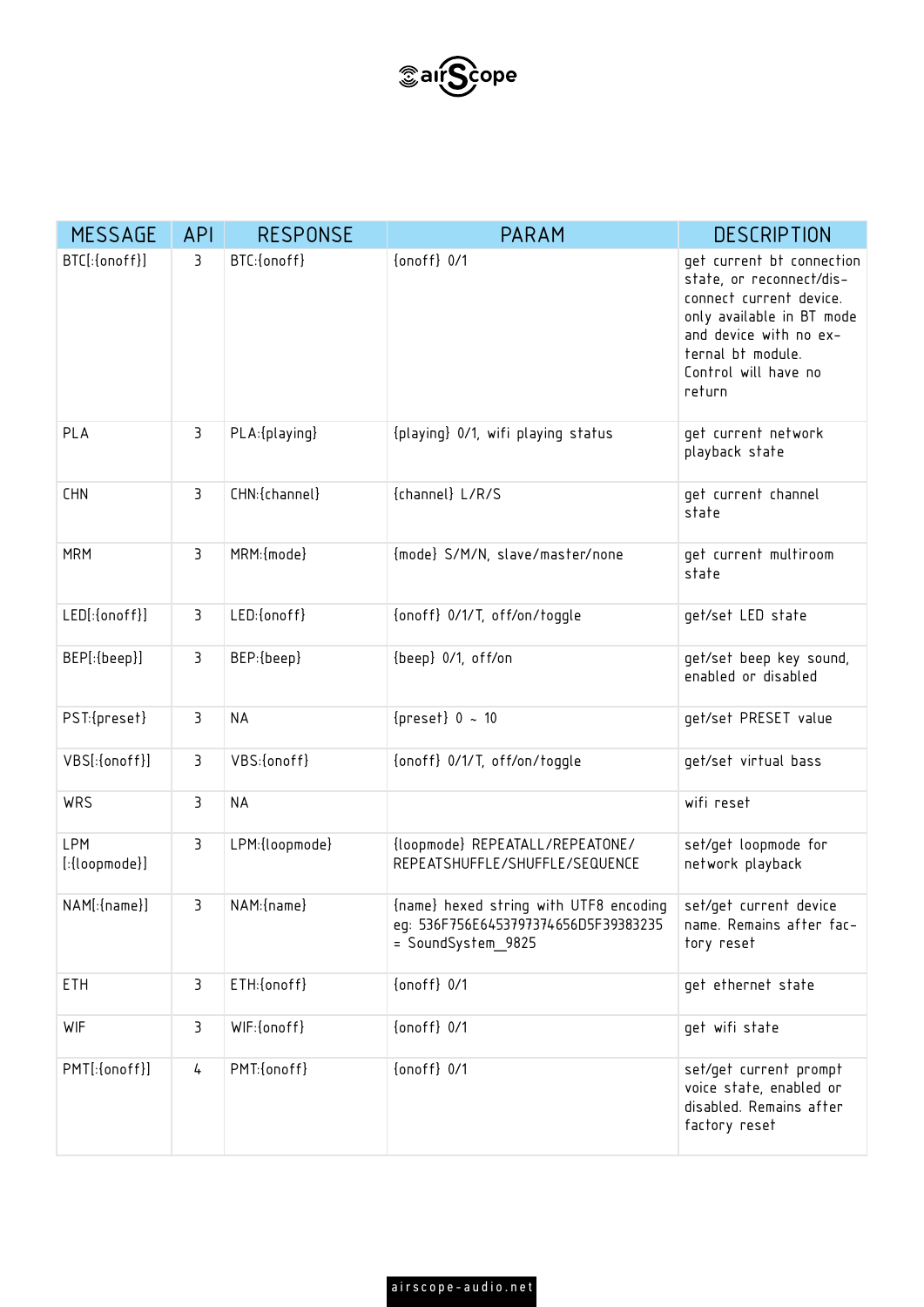

| <b>MESSAGE</b>                | <b>API</b>     | <b>RESPONSE</b> | <b>PARAM</b>                                                                                         | <b>DESCRIPTION</b>                                                                                                                                                                             |
|-------------------------------|----------------|-----------------|------------------------------------------------------------------------------------------------------|------------------------------------------------------------------------------------------------------------------------------------------------------------------------------------------------|
| BTC[:{onoff}]                 | 3              | BTC:{onoff}     | $\{$                                                                                                 | get current bt connection<br>state, or reconnect/dis-<br>connect current device.<br>only available in BT mode<br>and device with no ex-<br>ternal bt module.<br>Control will have no<br>return |
| PLA                           | 3              | PLA: {playing}  | {playing} 0/1, wifi playing status                                                                   | get current network<br>playback state                                                                                                                                                          |
| <b>CHN</b>                    | 3              | CHN:{channel}   | {channel} L/R/S                                                                                      | get current channel<br>state                                                                                                                                                                   |
| <b>MRM</b>                    | 3              | MRM: {mode}     | {mode} S/M/N, slave/master/none                                                                      | get current multiroom<br>state                                                                                                                                                                 |
| LED[:{onoff}]                 | 3              | LED:{onoff}     | {onoff} 0/1/T, off/on/toggle                                                                         | get/set LED state                                                                                                                                                                              |
| BEP[:{beep}]                  | 3              | BEP:{beep}      | {beep} 0/1, off/on                                                                                   | get/set beep key sound,<br>enabled or disabled                                                                                                                                                 |
| PST:{preset}                  | 3              | <b>NA</b>       | ${preset} 0$ ~ 10                                                                                    | get/set PRESET value                                                                                                                                                                           |
| VBS[:{onoff}]                 | 3              | VBS:{onoff}     | {onoff} 0/1/T, off/on/toggle                                                                         | get/set virtual bass                                                                                                                                                                           |
| WRS                           | $\overline{3}$ | <b>NA</b>       |                                                                                                      | wifi reset                                                                                                                                                                                     |
| <b>LPM</b><br>$[:{loopmode}]$ | 3              | LPM: {loopmode} | {loopmode} REPEATALL/REPEATONE/<br>REPEATSHUFFLE/SHUFFLE/SEQUENCE                                    | set/get loopmode for<br>network playback                                                                                                                                                       |
| NAM[:{name}]                  | 3              | NAM: {name}     | {name} hexed string with UTF8 encoding<br>eq: 536F756E6453797374656D5F39383235<br>= SoundSystem_9825 | set/get current device<br>name. Remains after fac-<br>tory reset                                                                                                                               |
| ETH                           | 3              | ETH:{onoff}     | {onoff} 0/1                                                                                          | get ethernet state                                                                                                                                                                             |
| <b>WIF</b>                    | 3              | WIF:{onoff}     | {onoff} 0/1                                                                                          | get wifi state                                                                                                                                                                                 |
| PMT[:{onoff}]                 | 4              | PMT:{onoff}     | $\{$                                                                                                 | set/get current prompt<br>voice state, enabled or<br>disabled. Remains after<br>factory reset                                                                                                  |